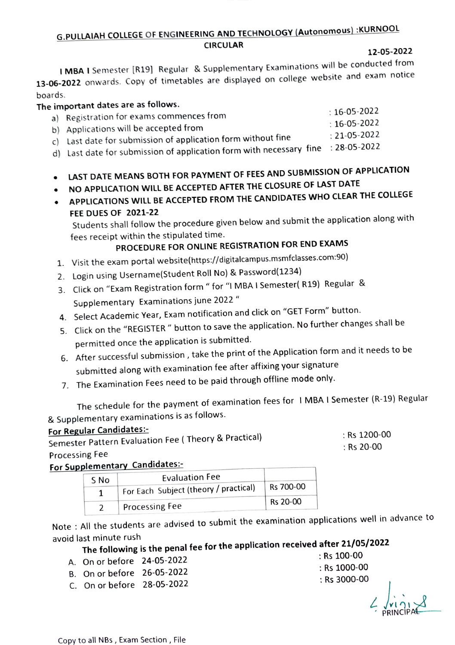### G.PULLAIAH COLLEGE OF ENGINEERING AND TECHNoLOGY (Autonomous) :KURNOOOL CIRCULAR

12-05-2022

IMBA I Semester [R19] Regular & Supplementary Examinations will be conducted from 13-06-2022 onwards. Copy of timetables are displayed on college website and exam notice boards

#### The important dates are as follows.

| e important dates are as follows. | $: 16 - 05 - 2022$                                                               |                    |
|-----------------------------------|----------------------------------------------------------------------------------|--------------------|
|                                   | a) Registration for exams commences from                                         |                    |
|                                   | b) Applications will be accepted from                                            | $: 16 - 05 - 2022$ |
|                                   |                                                                                  | $: 21 - 05 - 2022$ |
|                                   | c) Last date for submission of application form without fine                     |                    |
|                                   | d) Last date for submission of application form with necessary fine : 28-05-2022 |                    |
|                                   |                                                                                  |                    |
|                                   |                                                                                  |                    |

- LAST DATE MEANS BOTH FOR PAYMENT OF FEES AND SUBMIsSION OF APPLICATION
- NO APPLICATION WILL BE ACCEPTED AFTER THE CLOsURE OF LAST DATE
- APPLICATIONS WILL BE ACCEPTED FROM THE CANDIDATES WHO CLEAR THE COLLEGE FEE DUES OF 2021-22

Students shall follow the procedure given below and submit the application along with fees receipt within the stipulated time.

## PROCEDURE FOR ONLINE REGISTRATION FOR END EXAMS

- 1. Visit the exam portal website(https://digitalcampus.msmfclasses.com:90)
- 2. Login using Username(Student Roll No) & Password(1234)
- 3 Click on "Exam Registration form " for "I MBA I Semester( R19) Regular & Supplementary Examinations june 2022 "
- 4. Select Academic Year, Exam notification and click on "GET Form" button.
- 5. Click on the "REGISTER " button to save the application. No further changes shall be permitted once the application is submitted.
- 6. After successful submission, take the print of the Application form and it needs to be submitted along with examination fee after affixing your signature
- 7. The Examination Fees need to be paid through offline mode only.

The schedule for the payment of examination fees for I MBA I Semester (R-19) Regular & Supplementary examinations is as follows.

### For Regular Candidates:

Semester Pattern Evaluation Fee ( Theory & Practical) Processing Fee

### For Supplementary Candidates:-

| S No | <b>Evaluation Fee</b>                           |                      |
|------|-------------------------------------------------|----------------------|
|      | $\degree$ For Each Subject (theory / practical) | $^{\circ}$ Rs 700-00 |
|      | <b>Processing Fee</b>                           | Rs 20-00             |
|      |                                                 |                      |

Note : All the students are advised to submit the examination applications well in advance to avoid last minute rush

# The following is the penal fee for the application received after 21/05/2022

- A. On or before 24-05-2022
- B. On or before 26-05-2022
- C. On or before 28-05-2022

Rs 100-00 Rs 1000-00 Rs 3000-00

: Rs 1200-00 : Rs 20-00